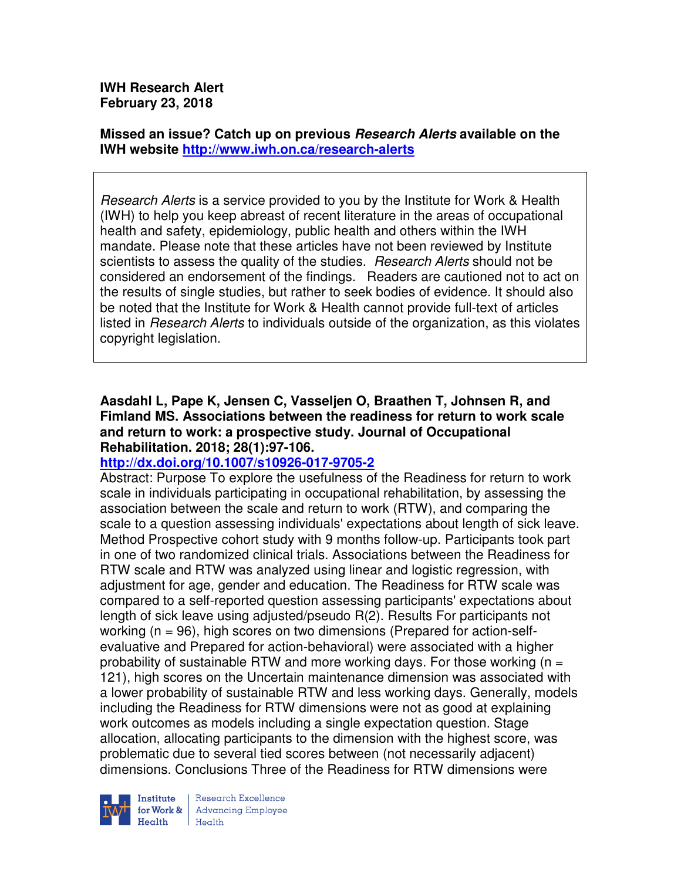**IWH Research Alert February 23, 2018** 

**Missed an issue? Catch up on previous Research Alerts available on the IWH website http://www.iwh.on.ca/research-alerts**

Research Alerts is a service provided to you by the Institute for Work & Health (IWH) to help you keep abreast of recent literature in the areas of occupational health and safety, epidemiology, public health and others within the IWH mandate. Please note that these articles have not been reviewed by Institute scientists to assess the quality of the studies. *Research Alerts* should not be considered an endorsement of the findings. Readers are cautioned not to act on the results of single studies, but rather to seek bodies of evidence. It should also be noted that the Institute for Work & Health cannot provide full-text of articles listed in Research Alerts to individuals outside of the organization, as this violates copyright legislation.

## **Aasdahl L, Pape K, Jensen C, Vasseljen O, Braathen T, Johnsen R, and Fimland MS. Associations between the readiness for return to work scale and return to work: a prospective study. Journal of Occupational Rehabilitation. 2018; 28(1):97-106.**

# **http://dx.doi.org/10.1007/s10926-017-9705-2**

Abstract: Purpose To explore the usefulness of the Readiness for return to work scale in individuals participating in occupational rehabilitation, by assessing the association between the scale and return to work (RTW), and comparing the scale to a question assessing individuals' expectations about length of sick leave. Method Prospective cohort study with 9 months follow-up. Participants took part in one of two randomized clinical trials. Associations between the Readiness for RTW scale and RTW was analyzed using linear and logistic regression, with adjustment for age, gender and education. The Readiness for RTW scale was compared to a self-reported question assessing participants' expectations about length of sick leave using adjusted/pseudo R(2). Results For participants not working (n = 96), high scores on two dimensions (Prepared for action-selfevaluative and Prepared for action-behavioral) were associated with a higher probability of sustainable RTW and more working days. For those working  $(n = 1)$ 121), high scores on the Uncertain maintenance dimension was associated with a lower probability of sustainable RTW and less working days. Generally, models including the Readiness for RTW dimensions were not as good at explaining work outcomes as models including a single expectation question. Stage allocation, allocating participants to the dimension with the highest score, was problematic due to several tied scores between (not necessarily adjacent) dimensions. Conclusions Three of the Readiness for RTW dimensions were



Research Excellence **Advancing Employee** Health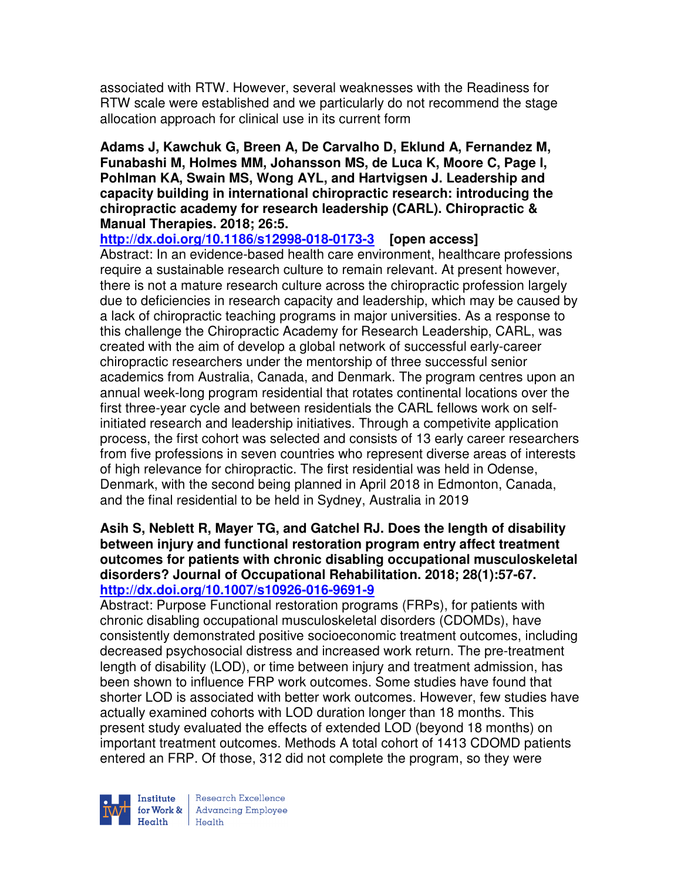associated with RTW. However, several weaknesses with the Readiness for RTW scale were established and we particularly do not recommend the stage allocation approach for clinical use in its current form

**Adams J, Kawchuk G, Breen A, De Carvalho D, Eklund A, Fernandez M, Funabashi M, Holmes MM, Johansson MS, de Luca K, Moore C, Page I, Pohlman KA, Swain MS, Wong AYL, and Hartvigsen J. Leadership and capacity building in international chiropractic research: introducing the chiropractic academy for research leadership (CARL). Chiropractic & Manual Therapies. 2018; 26:5.** 

**http://dx.doi.org/10.1186/s12998-018-0173-3 [open access]**

Abstract: In an evidence-based health care environment, healthcare professions require a sustainable research culture to remain relevant. At present however, there is not a mature research culture across the chiropractic profession largely due to deficiencies in research capacity and leadership, which may be caused by a lack of chiropractic teaching programs in major universities. As a response to this challenge the Chiropractic Academy for Research Leadership, CARL, was created with the aim of develop a global network of successful early-career chiropractic researchers under the mentorship of three successful senior academics from Australia, Canada, and Denmark. The program centres upon an annual week-long program residential that rotates continental locations over the first three-year cycle and between residentials the CARL fellows work on selfinitiated research and leadership initiatives. Through a competivite application process, the first cohort was selected and consists of 13 early career researchers from five professions in seven countries who represent diverse areas of interests of high relevance for chiropractic. The first residential was held in Odense, Denmark, with the second being planned in April 2018 in Edmonton, Canada, and the final residential to be held in Sydney, Australia in 2019

#### **Asih S, Neblett R, Mayer TG, and Gatchel RJ. Does the length of disability between injury and functional restoration program entry affect treatment outcomes for patients with chronic disabling occupational musculoskeletal disorders? Journal of Occupational Rehabilitation. 2018; 28(1):57-67. http://dx.doi.org/10.1007/s10926-016-9691-9**

Abstract: Purpose Functional restoration programs (FRPs), for patients with chronic disabling occupational musculoskeletal disorders (CDOMDs), have consistently demonstrated positive socioeconomic treatment outcomes, including decreased psychosocial distress and increased work return. The pre-treatment length of disability (LOD), or time between injury and treatment admission, has been shown to influence FRP work outcomes. Some studies have found that shorter LOD is associated with better work outcomes. However, few studies have actually examined cohorts with LOD duration longer than 18 months. This present study evaluated the effects of extended LOD (beyond 18 months) on important treatment outcomes. Methods A total cohort of 1413 CDOMD patients entered an FRP. Of those, 312 did not complete the program, so they were

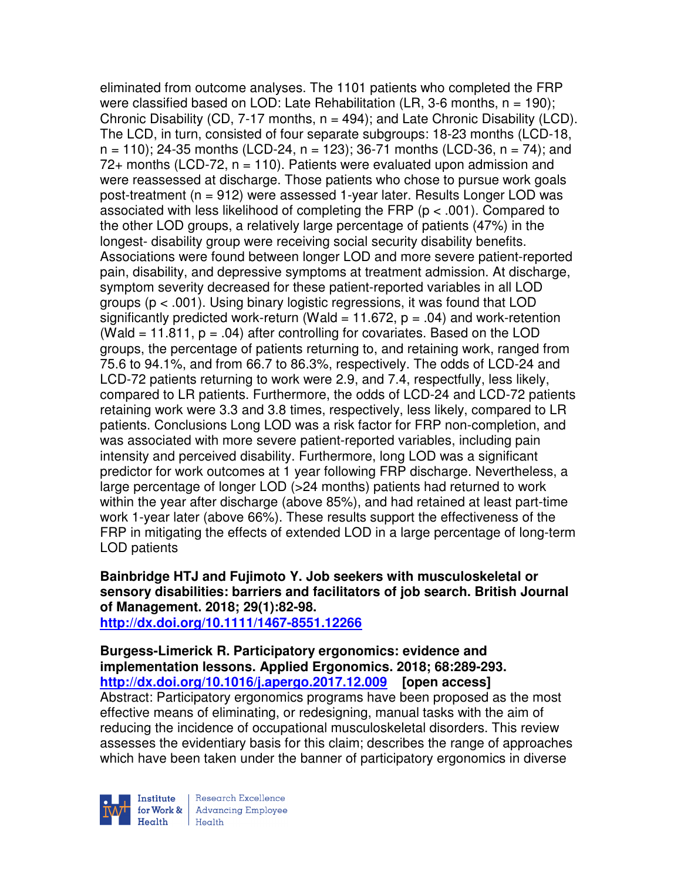eliminated from outcome analyses. The 1101 patients who completed the FRP were classified based on LOD: Late Rehabilitation (LR, 3-6 months,  $n = 190$ ); Chronic Disability (CD,  $7-17$  months,  $n = 494$ ); and Late Chronic Disability (LCD). The LCD, in turn, consisted of four separate subgroups: 18-23 months (LCD-18,  $n = 110$ ; 24-35 months (LCD-24,  $n = 123$ ); 36-71 months (LCD-36,  $n = 74$ ); and  $72+$  months (LCD-72,  $n = 110$ ). Patients were evaluated upon admission and were reassessed at discharge. Those patients who chose to pursue work goals post-treatment (n = 912) were assessed 1-year later. Results Longer LOD was associated with less likelihood of completing the FRP (p < .001). Compared to the other LOD groups, a relatively large percentage of patients (47%) in the longest- disability group were receiving social security disability benefits. Associations were found between longer LOD and more severe patient-reported pain, disability, and depressive symptoms at treatment admission. At discharge, symptom severity decreased for these patient-reported variables in all LOD groups (p < .001). Using binary logistic regressions, it was found that LOD significantly predicted work-return (Wald = 11.672,  $p = .04$ ) and work-retention (Wald  $= 11.811$ ,  $p = .04$ ) after controlling for covariates. Based on the LOD groups, the percentage of patients returning to, and retaining work, ranged from 75.6 to 94.1%, and from 66.7 to 86.3%, respectively. The odds of LCD-24 and LCD-72 patients returning to work were 2.9, and 7.4, respectfully, less likely, compared to LR patients. Furthermore, the odds of LCD-24 and LCD-72 patients retaining work were 3.3 and 3.8 times, respectively, less likely, compared to LR patients. Conclusions Long LOD was a risk factor for FRP non-completion, and was associated with more severe patient-reported variables, including pain intensity and perceived disability. Furthermore, long LOD was a significant predictor for work outcomes at 1 year following FRP discharge. Nevertheless, a large percentage of longer LOD (>24 months) patients had returned to work within the year after discharge (above 85%), and had retained at least part-time work 1-year later (above 66%). These results support the effectiveness of the FRP in mitigating the effects of extended LOD in a large percentage of long-term LOD patients

**Bainbridge HTJ and Fujimoto Y. Job seekers with musculoskeletal or sensory disabilities: barriers and facilitators of job search. British Journal of Management. 2018; 29(1):82-98.** 

**http://dx.doi.org/10.1111/1467-8551.12266** 

**Burgess-Limerick R. Participatory ergonomics: evidence and implementation lessons. Applied Ergonomics. 2018; 68:289-293. http://dx.doi.org/10.1016/j.apergo.2017.12.009 [open access]** Abstract: Participatory ergonomics programs have been proposed as the most effective means of eliminating, or redesigning, manual tasks with the aim of reducing the incidence of occupational musculoskeletal disorders. This review assesses the evidentiary basis for this claim; describes the range of approaches which have been taken under the banner of participatory ergonomics in diverse

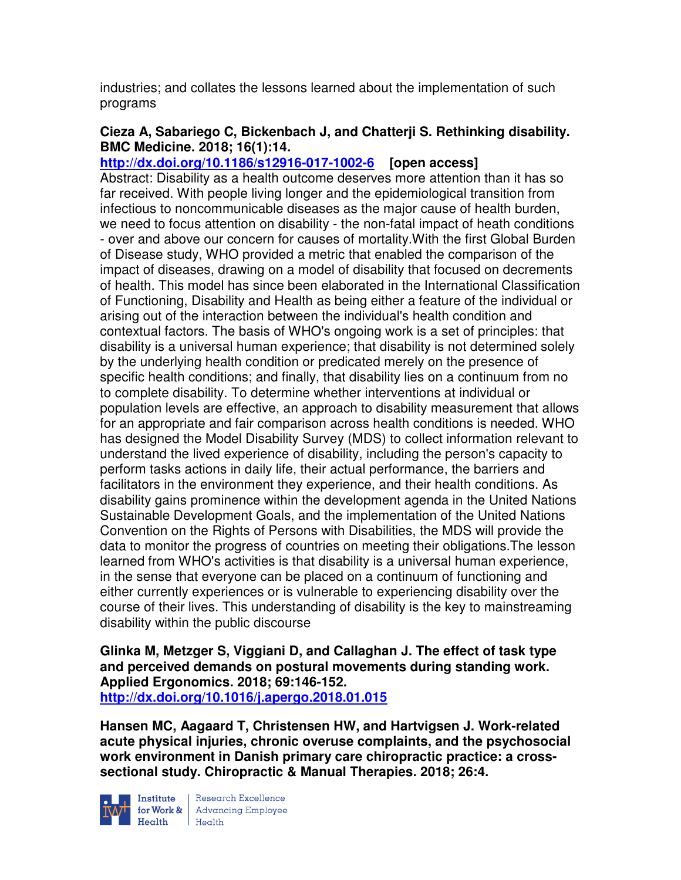industries; and collates the lessons learned about the implementation of such programs

# **Cieza A, Sabariego C, Bickenbach J, and Chatterji S. Rethinking disability. BMC Medicine. 2018; 16(1):14.**

**http://dx.doi.org/10.1186/s12916-017-1002-6 [open access]** Abstract: Disability as a health outcome deserves more attention than it has so far received. With people living longer and the epidemiological transition from infectious to noncommunicable diseases as the major cause of health burden, we need to focus attention on disability - the non-fatal impact of heath conditions - over and above our concern for causes of mortality.With the first Global Burden of Disease study, WHO provided a metric that enabled the comparison of the impact of diseases, drawing on a model of disability that focused on decrements of health. This model has since been elaborated in the International Classification of Functioning, Disability and Health as being either a feature of the individual or arising out of the interaction between the individual's health condition and contextual factors. The basis of WHO's ongoing work is a set of principles: that disability is a universal human experience; that disability is not determined solely by the underlying health condition or predicated merely on the presence of specific health conditions; and finally, that disability lies on a continuum from no to complete disability. To determine whether interventions at individual or population levels are effective, an approach to disability measurement that allows for an appropriate and fair comparison across health conditions is needed. WHO has designed the Model Disability Survey (MDS) to collect information relevant to understand the lived experience of disability, including the person's capacity to perform tasks actions in daily life, their actual performance, the barriers and facilitators in the environment they experience, and their health conditions. As disability gains prominence within the development agenda in the United Nations Sustainable Development Goals, and the implementation of the United Nations Convention on the Rights of Persons with Disabilities, the MDS will provide the data to monitor the progress of countries on meeting their obligations.The lesson learned from WHO's activities is that disability is a universal human experience, in the sense that everyone can be placed on a continuum of functioning and either currently experiences or is vulnerable to experiencing disability over the course of their lives. This understanding of disability is the key to mainstreaming disability within the public discourse

**Glinka M, Metzger S, Viggiani D, and Callaghan J. The effect of task type and perceived demands on postural movements during standing work. Applied Ergonomics. 2018; 69:146-152. http://dx.doi.org/10.1016/j.apergo.2018.01.015** 

**Hansen MC, Aagaard T, Christensen HW, and Hartvigsen J. Work-related acute physical injuries, chronic overuse complaints, and the psychosocial work environment in Danish primary care chiropractic practice: a crosssectional study. Chiropractic & Manual Therapies. 2018; 26:4.** 



Institute Research Excellence<br>for Work & Advancing Employee<br>Health Health  $H_{\text{eath}}$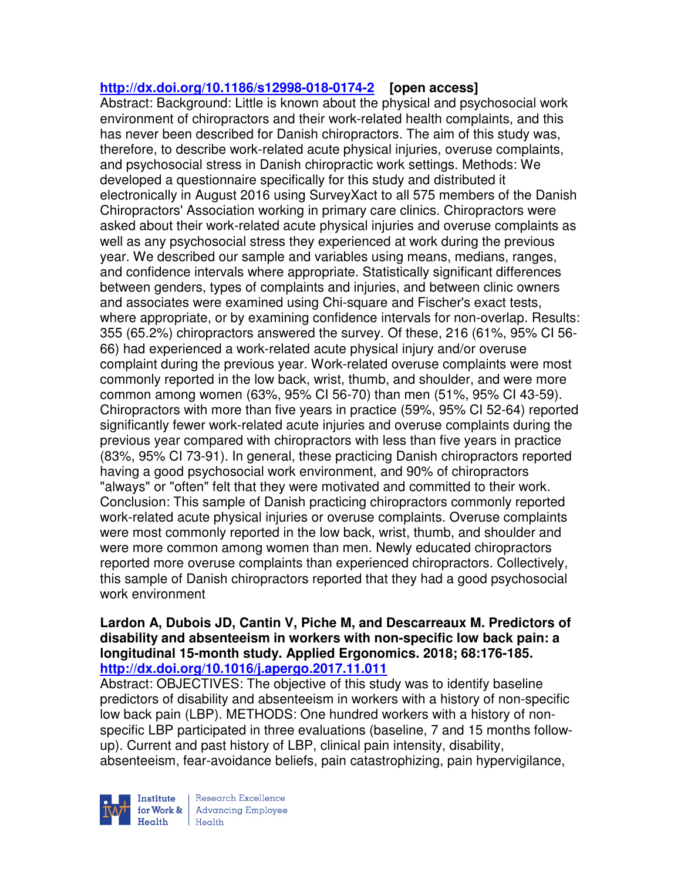# **http://dx.doi.org/10.1186/s12998-018-0174-2 [open access]**

Abstract: Background: Little is known about the physical and psychosocial work environment of chiropractors and their work-related health complaints, and this has never been described for Danish chiropractors. The aim of this study was, therefore, to describe work-related acute physical injuries, overuse complaints, and psychosocial stress in Danish chiropractic work settings. Methods: We developed a questionnaire specifically for this study and distributed it electronically in August 2016 using SurveyXact to all 575 members of the Danish Chiropractors' Association working in primary care clinics. Chiropractors were asked about their work-related acute physical injuries and overuse complaints as well as any psychosocial stress they experienced at work during the previous year. We described our sample and variables using means, medians, ranges, and confidence intervals where appropriate. Statistically significant differences between genders, types of complaints and injuries, and between clinic owners and associates were examined using Chi-square and Fischer's exact tests, where appropriate, or by examining confidence intervals for non-overlap. Results: 355 (65.2%) chiropractors answered the survey. Of these, 216 (61%, 95% CI 56- 66) had experienced a work-related acute physical injury and/or overuse complaint during the previous year. Work-related overuse complaints were most commonly reported in the low back, wrist, thumb, and shoulder, and were more common among women (63%, 95% CI 56-70) than men (51%, 95% CI 43-59). Chiropractors with more than five years in practice (59%, 95% CI 52-64) reported significantly fewer work-related acute injuries and overuse complaints during the previous year compared with chiropractors with less than five years in practice (83%, 95% CI 73-91). In general, these practicing Danish chiropractors reported having a good psychosocial work environment, and 90% of chiropractors "always" or "often" felt that they were motivated and committed to their work. Conclusion: This sample of Danish practicing chiropractors commonly reported work-related acute physical injuries or overuse complaints. Overuse complaints were most commonly reported in the low back, wrist, thumb, and shoulder and were more common among women than men. Newly educated chiropractors reported more overuse complaints than experienced chiropractors. Collectively, this sample of Danish chiropractors reported that they had a good psychosocial work environment

#### **Lardon A, Dubois JD, Cantin V, Piche M, and Descarreaux M. Predictors of disability and absenteeism in workers with non-specific low back pain: a longitudinal 15-month study. Applied Ergonomics. 2018; 68:176-185. http://dx.doi.org/10.1016/j.apergo.2017.11.011**

Abstract: OBJECTIVES: The objective of this study was to identify baseline predictors of disability and absenteeism in workers with a history of non-specific low back pain (LBP). METHODS: One hundred workers with a history of nonspecific LBP participated in three evaluations (baseline, 7 and 15 months followup). Current and past history of LBP, clinical pain intensity, disability, absenteeism, fear-avoidance beliefs, pain catastrophizing, pain hypervigilance,

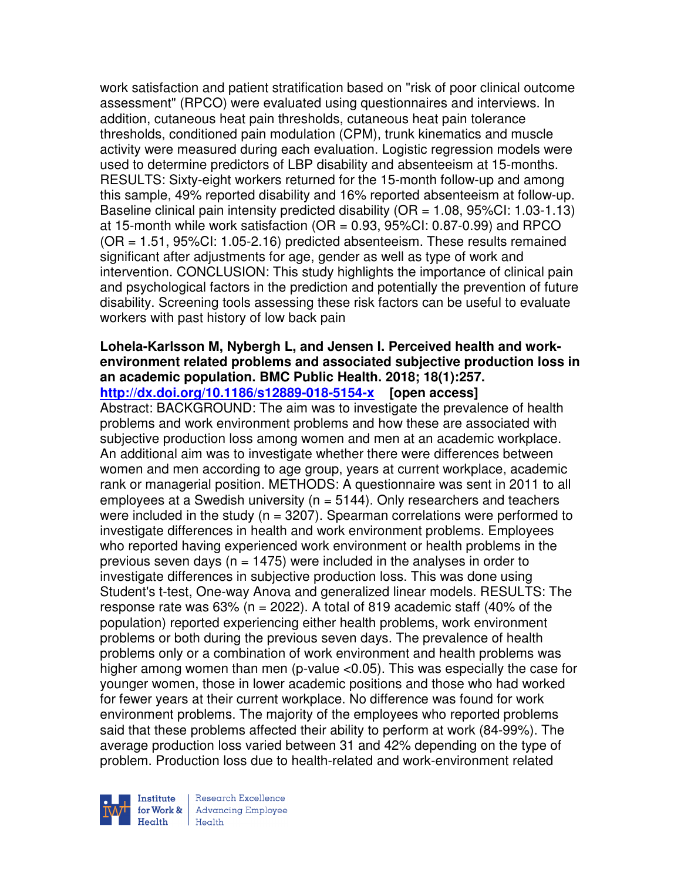work satisfaction and patient stratification based on "risk of poor clinical outcome assessment" (RPCO) were evaluated using questionnaires and interviews. In addition, cutaneous heat pain thresholds, cutaneous heat pain tolerance thresholds, conditioned pain modulation (CPM), trunk kinematics and muscle activity were measured during each evaluation. Logistic regression models were used to determine predictors of LBP disability and absenteeism at 15-months. RESULTS: Sixty-eight workers returned for the 15-month follow-up and among this sample, 49% reported disability and 16% reported absenteeism at follow-up. Baseline clinical pain intensity predicted disability (OR = 1.08, 95%CI: 1.03-1.13) at 15-month while work satisfaction ( $OR = 0.93$ ,  $95\% CI: 0.87 - 0.99$ ) and RPCO (OR = 1.51, 95%CI: 1.05-2.16) predicted absenteeism. These results remained significant after adjustments for age, gender as well as type of work and intervention. CONCLUSION: This study highlights the importance of clinical pain and psychological factors in the prediction and potentially the prevention of future disability. Screening tools assessing these risk factors can be useful to evaluate workers with past history of low back pain

# **Lohela-Karlsson M, Nybergh L, and Jensen I. Perceived health and workenvironment related problems and associated subjective production loss in an academic population. BMC Public Health. 2018; 18(1):257.**

**http://dx.doi.org/10.1186/s12889-018-5154-x [open access]**

Abstract: BACKGROUND: The aim was to investigate the prevalence of health problems and work environment problems and how these are associated with subjective production loss among women and men at an academic workplace. An additional aim was to investigate whether there were differences between women and men according to age group, years at current workplace, academic rank or managerial position. METHODS: A questionnaire was sent in 2011 to all employees at a Swedish university ( $n = 5144$ ). Only researchers and teachers were included in the study ( $n = 3207$ ). Spearman correlations were performed to investigate differences in health and work environment problems. Employees who reported having experienced work environment or health problems in the previous seven days ( $n = 1475$ ) were included in the analyses in order to investigate differences in subjective production loss. This was done using Student's t-test, One-way Anova and generalized linear models. RESULTS: The response rate was  $63\%$  (n = 2022). A total of 819 academic staff (40% of the population) reported experiencing either health problems, work environment problems or both during the previous seven days. The prevalence of health problems only or a combination of work environment and health problems was higher among women than men (p-value <0.05). This was especially the case for younger women, those in lower academic positions and those who had worked for fewer years at their current workplace. No difference was found for work environment problems. The majority of the employees who reported problems said that these problems affected their ability to perform at work (84-99%). The average production loss varied between 31 and 42% depending on the type of problem. Production loss due to health-related and work-environment related

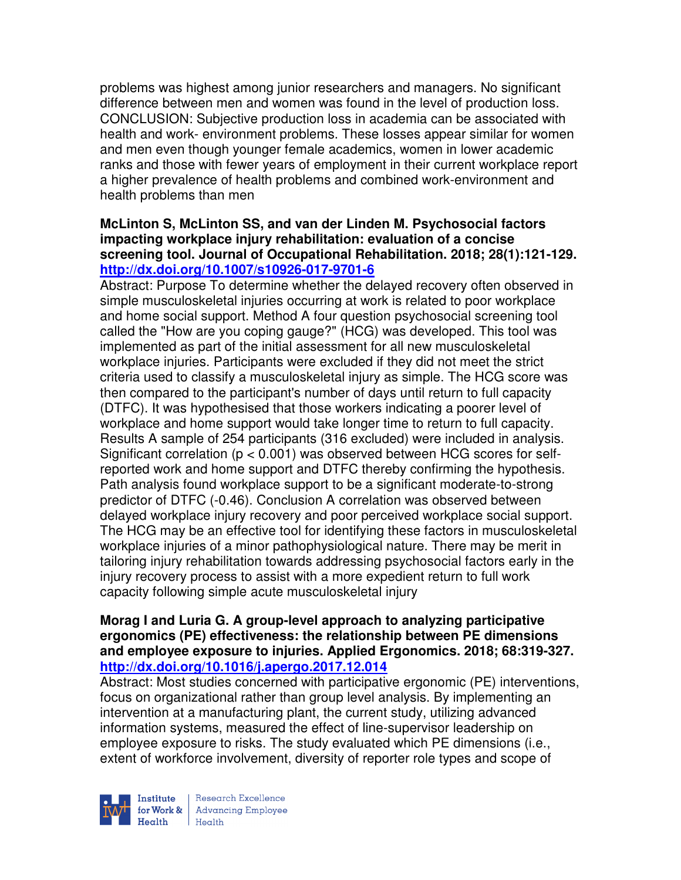problems was highest among junior researchers and managers. No significant difference between men and women was found in the level of production loss. CONCLUSION: Subjective production loss in academia can be associated with health and work- environment problems. These losses appear similar for women and men even though younger female academics, women in lower academic ranks and those with fewer years of employment in their current workplace report a higher prevalence of health problems and combined work-environment and health problems than men

## **McLinton S, McLinton SS, and van der Linden M. Psychosocial factors impacting workplace injury rehabilitation: evaluation of a concise screening tool. Journal of Occupational Rehabilitation. 2018; 28(1):121-129. http://dx.doi.org/10.1007/s10926-017-9701-6**

Abstract: Purpose To determine whether the delayed recovery often observed in simple musculoskeletal injuries occurring at work is related to poor workplace and home social support. Method A four question psychosocial screening tool called the "How are you coping gauge?" (HCG) was developed. This tool was implemented as part of the initial assessment for all new musculoskeletal workplace injuries. Participants were excluded if they did not meet the strict criteria used to classify a musculoskeletal injury as simple. The HCG score was then compared to the participant's number of days until return to full capacity (DTFC). It was hypothesised that those workers indicating a poorer level of workplace and home support would take longer time to return to full capacity. Results A sample of 254 participants (316 excluded) were included in analysis. Significant correlation (p < 0.001) was observed between HCG scores for selfreported work and home support and DTFC thereby confirming the hypothesis. Path analysis found workplace support to be a significant moderate-to-strong predictor of DTFC (-0.46). Conclusion A correlation was observed between delayed workplace injury recovery and poor perceived workplace social support. The HCG may be an effective tool for identifying these factors in musculoskeletal workplace injuries of a minor pathophysiological nature. There may be merit in tailoring injury rehabilitation towards addressing psychosocial factors early in the injury recovery process to assist with a more expedient return to full work capacity following simple acute musculoskeletal injury

## **Morag I and Luria G. A group-level approach to analyzing participative ergonomics (PE) effectiveness: the relationship between PE dimensions and employee exposure to injuries. Applied Ergonomics. 2018; 68:319-327. http://dx.doi.org/10.1016/j.apergo.2017.12.014**

Abstract: Most studies concerned with participative ergonomic (PE) interventions, focus on organizational rather than group level analysis. By implementing an intervention at a manufacturing plant, the current study, utilizing advanced information systems, measured the effect of line-supervisor leadership on employee exposure to risks. The study evaluated which PE dimensions (i.e., extent of workforce involvement, diversity of reporter role types and scope of

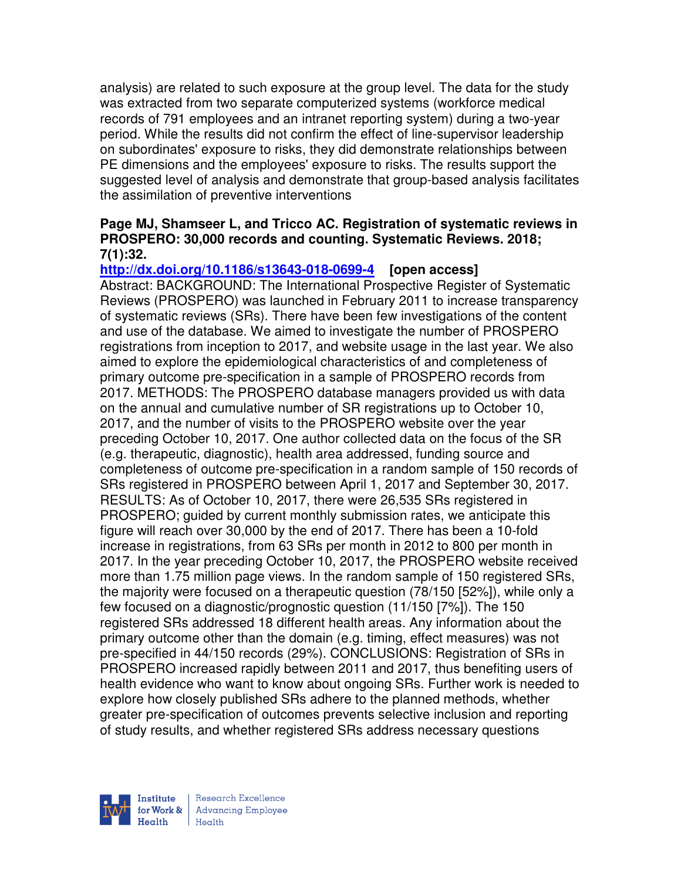analysis) are related to such exposure at the group level. The data for the study was extracted from two separate computerized systems (workforce medical records of 791 employees and an intranet reporting system) during a two-year period. While the results did not confirm the effect of line-supervisor leadership on subordinates' exposure to risks, they did demonstrate relationships between PE dimensions and the employees' exposure to risks. The results support the suggested level of analysis and demonstrate that group-based analysis facilitates the assimilation of preventive interventions

## **Page MJ, Shamseer L, and Tricco AC. Registration of systematic reviews in PROSPERO: 30,000 records and counting. Systematic Reviews. 2018; 7(1):32.**

**http://dx.doi.org/10.1186/s13643-018-0699-4 [open access]**

Abstract: BACKGROUND: The International Prospective Register of Systematic Reviews (PROSPERO) was launched in February 2011 to increase transparency of systematic reviews (SRs). There have been few investigations of the content and use of the database. We aimed to investigate the number of PROSPERO registrations from inception to 2017, and website usage in the last year. We also aimed to explore the epidemiological characteristics of and completeness of primary outcome pre-specification in a sample of PROSPERO records from 2017. METHODS: The PROSPERO database managers provided us with data on the annual and cumulative number of SR registrations up to October 10, 2017, and the number of visits to the PROSPERO website over the year preceding October 10, 2017. One author collected data on the focus of the SR (e.g. therapeutic, diagnostic), health area addressed, funding source and completeness of outcome pre-specification in a random sample of 150 records of SRs registered in PROSPERO between April 1, 2017 and September 30, 2017. RESULTS: As of October 10, 2017, there were 26,535 SRs registered in PROSPERO; guided by current monthly submission rates, we anticipate this figure will reach over 30,000 by the end of 2017. There has been a 10-fold increase in registrations, from 63 SRs per month in 2012 to 800 per month in 2017. In the year preceding October 10, 2017, the PROSPERO website received more than 1.75 million page views. In the random sample of 150 registered SRs, the majority were focused on a therapeutic question (78/150 [52%]), while only a few focused on a diagnostic/prognostic question (11/150 [7%]). The 150 registered SRs addressed 18 different health areas. Any information about the primary outcome other than the domain (e.g. timing, effect measures) was not pre-specified in 44/150 records (29%). CONCLUSIONS: Registration of SRs in PROSPERO increased rapidly between 2011 and 2017, thus benefiting users of health evidence who want to know about ongoing SRs. Further work is needed to explore how closely published SRs adhere to the planned methods, whether greater pre-specification of outcomes prevents selective inclusion and reporting of study results, and whether registered SRs address necessary questions



Research Excellence for Work & | Advancing Employee  $H_{\text{each}}$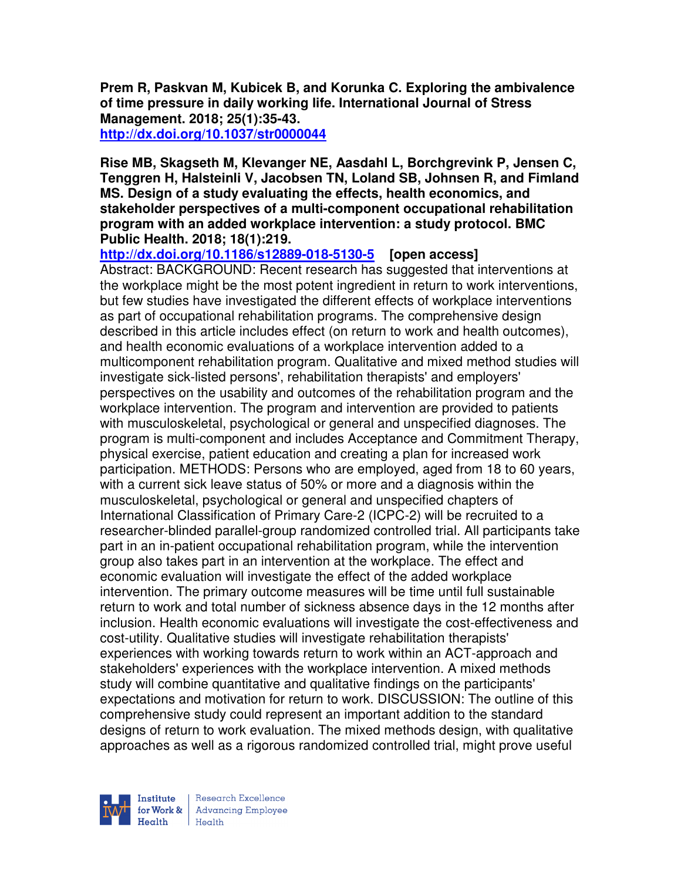**Prem R, Paskvan M, Kubicek B, and Korunka C. Exploring the ambivalence of time pressure in daily working life. International Journal of Stress Management. 2018; 25(1):35-43. http://dx.doi.org/10.1037/str0000044** 

**Rise MB, Skagseth M, Klevanger NE, Aasdahl L, Borchgrevink P, Jensen C, Tenggren H, Halsteinli V, Jacobsen TN, Loland SB, Johnsen R, and Fimland MS. Design of a study evaluating the effects, health economics, and stakeholder perspectives of a multi-component occupational rehabilitation program with an added workplace intervention: a study protocol. BMC Public Health. 2018; 18(1):219.** 

**http://dx.doi.org/10.1186/s12889-018-5130-5 [open access]** Abstract: BACKGROUND: Recent research has suggested that interventions at the workplace might be the most potent ingredient in return to work interventions, but few studies have investigated the different effects of workplace interventions as part of occupational rehabilitation programs. The comprehensive design described in this article includes effect (on return to work and health outcomes), and health economic evaluations of a workplace intervention added to a multicomponent rehabilitation program. Qualitative and mixed method studies will investigate sick-listed persons', rehabilitation therapists' and employers' perspectives on the usability and outcomes of the rehabilitation program and the workplace intervention. The program and intervention are provided to patients with musculoskeletal, psychological or general and unspecified diagnoses. The program is multi-component and includes Acceptance and Commitment Therapy, physical exercise, patient education and creating a plan for increased work participation. METHODS: Persons who are employed, aged from 18 to 60 years, with a current sick leave status of 50% or more and a diagnosis within the musculoskeletal, psychological or general and unspecified chapters of International Classification of Primary Care-2 (ICPC-2) will be recruited to a researcher-blinded parallel-group randomized controlled trial. All participants take part in an in-patient occupational rehabilitation program, while the intervention group also takes part in an intervention at the workplace. The effect and economic evaluation will investigate the effect of the added workplace intervention. The primary outcome measures will be time until full sustainable return to work and total number of sickness absence days in the 12 months after inclusion. Health economic evaluations will investigate the cost-effectiveness and cost-utility. Qualitative studies will investigate rehabilitation therapists' experiences with working towards return to work within an ACT-approach and stakeholders' experiences with the workplace intervention. A mixed methods study will combine quantitative and qualitative findings on the participants' expectations and motivation for return to work. DISCUSSION: The outline of this comprehensive study could represent an important addition to the standard designs of return to work evaluation. The mixed methods design, with qualitative approaches as well as a rigorous randomized controlled trial, might prove useful



Research Excellence **Institute** Research Excellence<br> **For Work &**<br>
Morth Harlth Harlth Health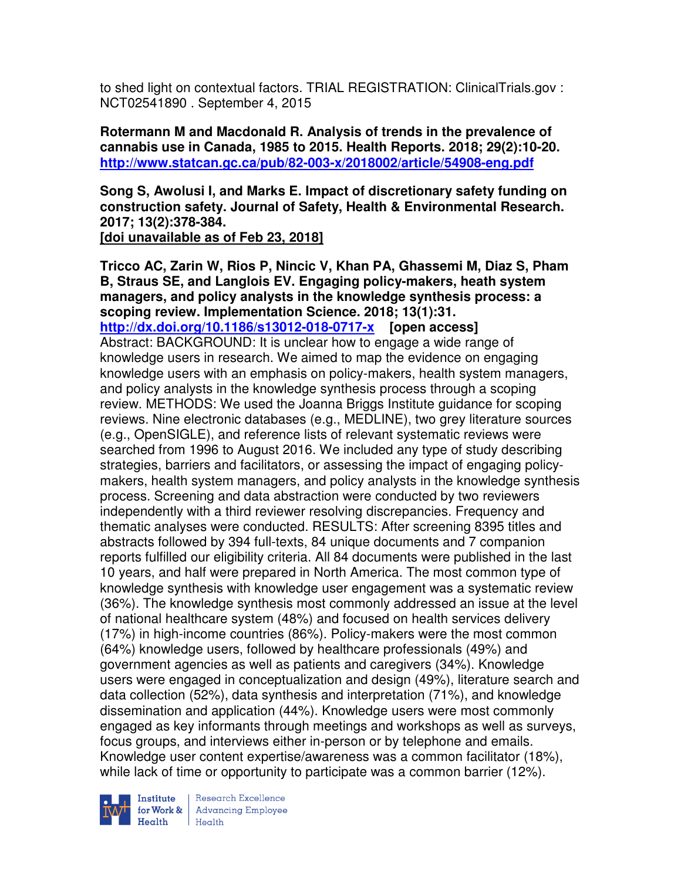to shed light on contextual factors. TRIAL REGISTRATION: ClinicalTrials.gov : NCT02541890 . September 4, 2015

**Rotermann M and Macdonald R. Analysis of trends in the prevalence of cannabis use in Canada, 1985 to 2015. Health Reports. 2018; 29(2):10-20. http://www.statcan.gc.ca/pub/82-003-x/2018002/article/54908-eng.pdf** 

**Song S, Awolusi I, and Marks E. Impact of discretionary safety funding on construction safety. Journal of Safety, Health & Environmental Research. 2017; 13(2):378-384. [doi unavailable as of Feb 23, 2018]** 

**Tricco AC, Zarin W, Rios P, Nincic V, Khan PA, Ghassemi M, Diaz S, Pham B, Straus SE, and Langlois EV. Engaging policy-makers, heath system managers, and policy analysts in the knowledge synthesis process: a scoping review. Implementation Science. 2018; 13(1):31. http://dx.doi.org/10.1186/s13012-018-0717-x [open access]** Abstract: BACKGROUND: It is unclear how to engage a wide range of knowledge users in research. We aimed to map the evidence on engaging knowledge users with an emphasis on policy-makers, health system managers, and policy analysts in the knowledge synthesis process through a scoping review. METHODS: We used the Joanna Briggs Institute guidance for scoping reviews. Nine electronic databases (e.g., MEDLINE), two grey literature sources (e.g., OpenSIGLE), and reference lists of relevant systematic reviews were searched from 1996 to August 2016. We included any type of study describing strategies, barriers and facilitators, or assessing the impact of engaging policymakers, health system managers, and policy analysts in the knowledge synthesis process. Screening and data abstraction were conducted by two reviewers independently with a third reviewer resolving discrepancies. Frequency and thematic analyses were conducted. RESULTS: After screening 8395 titles and abstracts followed by 394 full-texts, 84 unique documents and 7 companion reports fulfilled our eligibility criteria. All 84 documents were published in the last 10 years, and half were prepared in North America. The most common type of knowledge synthesis with knowledge user engagement was a systematic review (36%). The knowledge synthesis most commonly addressed an issue at the level of national healthcare system (48%) and focused on health services delivery (17%) in high-income countries (86%). Policy-makers were the most common (64%) knowledge users, followed by healthcare professionals (49%) and government agencies as well as patients and caregivers (34%). Knowledge users were engaged in conceptualization and design (49%), literature search and data collection (52%), data synthesis and interpretation (71%), and knowledge dissemination and application (44%). Knowledge users were most commonly engaged as key informants through meetings and workshops as well as surveys, focus groups, and interviews either in-person or by telephone and emails. Knowledge user content expertise/awareness was a common facilitator (18%), while lack of time or opportunity to participate was a common barrier (12%).



Institute Research Excellence<br>for Work & Advancing Employee<br>Health Health  $Heath$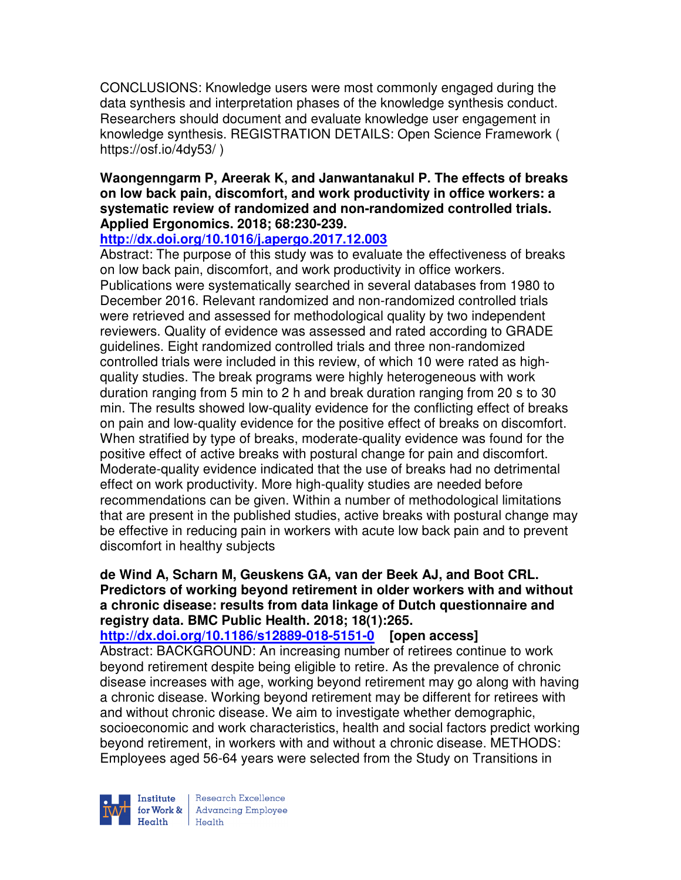CONCLUSIONS: Knowledge users were most commonly engaged during the data synthesis and interpretation phases of the knowledge synthesis conduct. Researchers should document and evaluate knowledge user engagement in knowledge synthesis. REGISTRATION DETAILS: Open Science Framework ( https://osf.io/4dy53/ )

## **Waongenngarm P, Areerak K, and Janwantanakul P. The effects of breaks on low back pain, discomfort, and work productivity in office workers: a systematic review of randomized and non-randomized controlled trials. Applied Ergonomics. 2018; 68:230-239.**

## **http://dx.doi.org/10.1016/j.apergo.2017.12.003**

Abstract: The purpose of this study was to evaluate the effectiveness of breaks on low back pain, discomfort, and work productivity in office workers. Publications were systematically searched in several databases from 1980 to December 2016. Relevant randomized and non-randomized controlled trials were retrieved and assessed for methodological quality by two independent reviewers. Quality of evidence was assessed and rated according to GRADE guidelines. Eight randomized controlled trials and three non-randomized controlled trials were included in this review, of which 10 were rated as highquality studies. The break programs were highly heterogeneous with work duration ranging from 5 min to 2 h and break duration ranging from 20 s to 30 min. The results showed low-quality evidence for the conflicting effect of breaks on pain and low-quality evidence for the positive effect of breaks on discomfort. When stratified by type of breaks, moderate-quality evidence was found for the positive effect of active breaks with postural change for pain and discomfort. Moderate-quality evidence indicated that the use of breaks had no detrimental effect on work productivity. More high-quality studies are needed before recommendations can be given. Within a number of methodological limitations that are present in the published studies, active breaks with postural change may be effective in reducing pain in workers with acute low back pain and to prevent discomfort in healthy subjects

## **de Wind A, Scharn M, Geuskens GA, van der Beek AJ, and Boot CRL. Predictors of working beyond retirement in older workers with and without a chronic disease: results from data linkage of Dutch questionnaire and registry data. BMC Public Health. 2018; 18(1):265.**

# **http://dx.doi.org/10.1186/s12889-018-5151-0 [open access]**

Abstract: BACKGROUND: An increasing number of retirees continue to work beyond retirement despite being eligible to retire. As the prevalence of chronic disease increases with age, working beyond retirement may go along with having a chronic disease. Working beyond retirement may be different for retirees with and without chronic disease. We aim to investigate whether demographic, socioeconomic and work characteristics, health and social factors predict working beyond retirement, in workers with and without a chronic disease. METHODS: Employees aged 56-64 years were selected from the Study on Transitions in



Research Excellence **Institute** Research Excellence<br> **For Work &**<br>
Marth Harlth Harlth  $H_{\text{eath}}$